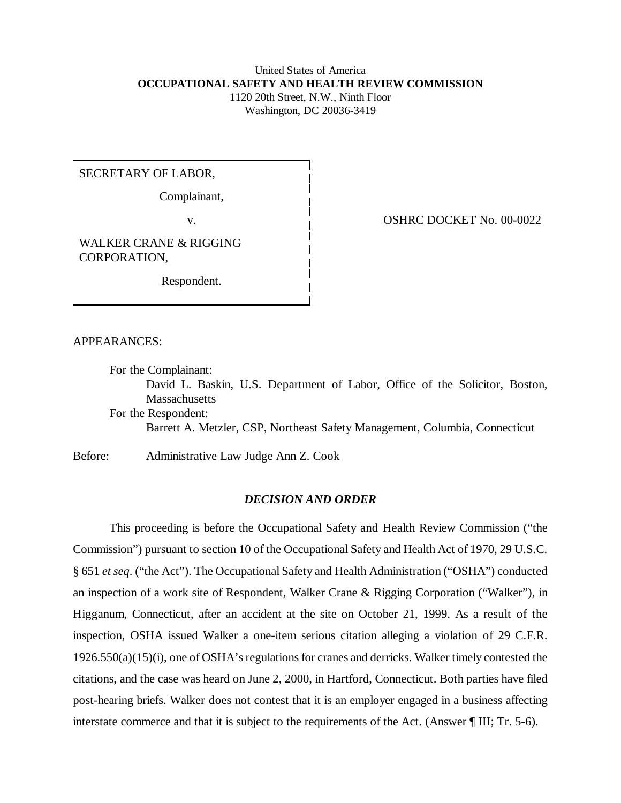### United States of America **OCCUPATIONAL SAFETY AND HEALTH REVIEW COMMISSION** 1120 20th Street, N.W., Ninth Floor

Washington, DC 20036-3419

SECRETARY OF LABOR,

Complainant,

WALKER CRANE & RIGGING CORPORATION,

Respondent.

v. COSHRC DOCKET No. 00-0022

APPEARANCES:

For the Complainant: David L. Baskin, U.S. Department of Labor, Office of the Solicitor, Boston, Massachusetts For the Respondent: Barrett A. Metzler, CSP, Northeast Safety Management, Columbia, Connecticut

Before: Administrative Law Judge Ann Z. Cook

# *DECISION AND ORDER*

This proceeding is before the Occupational Safety and Health Review Commission ("the Commission") pursuant to section 10 of the Occupational Safety and Health Act of 1970, 29 U.S.C. § 651 *et seq*. ("the Act"). The Occupational Safety and Health Administration ("OSHA") conducted an inspection of a work site of Respondent, Walker Crane & Rigging Corporation ("Walker"), in Higganum, Connecticut, after an accident at the site on October 21, 1999. As a result of the inspection, OSHA issued Walker a one-item serious citation alleging a violation of 29 C.F.R. 1926.550(a)(15)(i), one of OSHA's regulations for cranes and derricks. Walker timely contested the citations, and the case was heard on June 2, 2000, in Hartford, Connecticut. Both parties have filed post-hearing briefs. Walker does not contest that it is an employer engaged in a business affecting interstate commerce and that it is subject to the requirements of the Act. (Answer ¶ III; Tr. 5-6).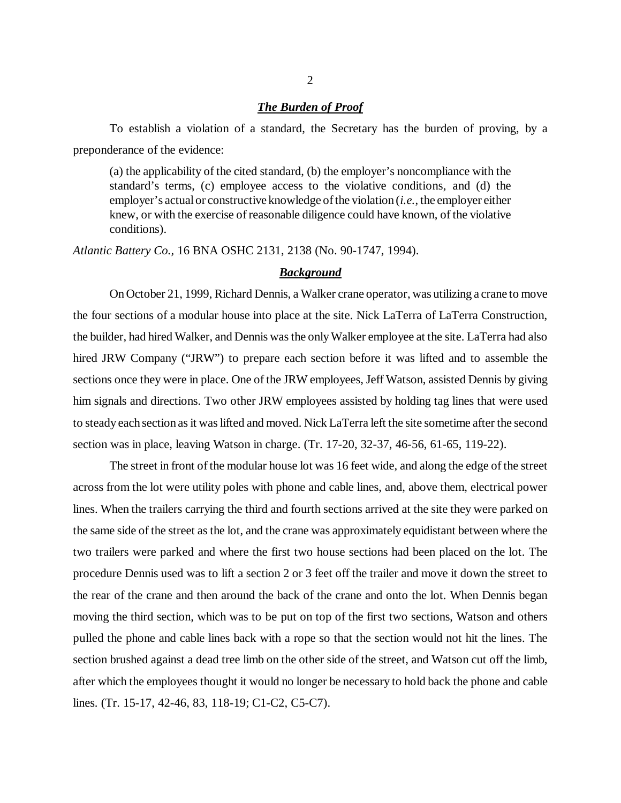#### *The Burden of Proof*

To establish a violation of a standard, the Secretary has the burden of proving, by a preponderance of the evidence:

(a) the applicability of the cited standard, (b) the employer's noncompliance with the standard's terms, (c) employee access to the violative conditions, and (d) the employer's actual or constructive knowledge of the violation (*i.e.*, the employer either knew, or with the exercise of reasonable diligence could have known, of the violative conditions).

*Atlantic Battery Co.,* 16 BNA OSHC 2131, 2138 (No. 90-1747, 1994).

### *Background*

On October 21, 1999, Richard Dennis, a Walker crane operator, was utilizing a crane to move the four sections of a modular house into place at the site. Nick LaTerra of LaTerra Construction, the builder, had hired Walker, and Dennis was the only Walker employee at the site. LaTerra had also hired JRW Company ("JRW") to prepare each section before it was lifted and to assemble the sections once they were in place. One of the JRW employees, Jeff Watson, assisted Dennis by giving him signals and directions. Two other JRW employees assisted by holding tag lines that were used to steady each section as it was lifted and moved. Nick LaTerra left the site sometime after the second section was in place, leaving Watson in charge. (Tr. 17-20, 32-37, 46-56, 61-65, 119-22).

The street in front of the modular house lot was 16 feet wide, and along the edge of the street across from the lot were utility poles with phone and cable lines, and, above them, electrical power lines. When the trailers carrying the third and fourth sections arrived at the site they were parked on the same side of the street as the lot, and the crane was approximately equidistant between where the two trailers were parked and where the first two house sections had been placed on the lot. The procedure Dennis used was to lift a section 2 or 3 feet off the trailer and move it down the street to the rear of the crane and then around the back of the crane and onto the lot. When Dennis began moving the third section, which was to be put on top of the first two sections, Watson and others pulled the phone and cable lines back with a rope so that the section would not hit the lines. The section brushed against a dead tree limb on the other side of the street, and Watson cut off the limb, after which the employees thought it would no longer be necessary to hold back the phone and cable lines. (Tr. 15-17, 42-46, 83, 118-19; C1-C2, C5-C7).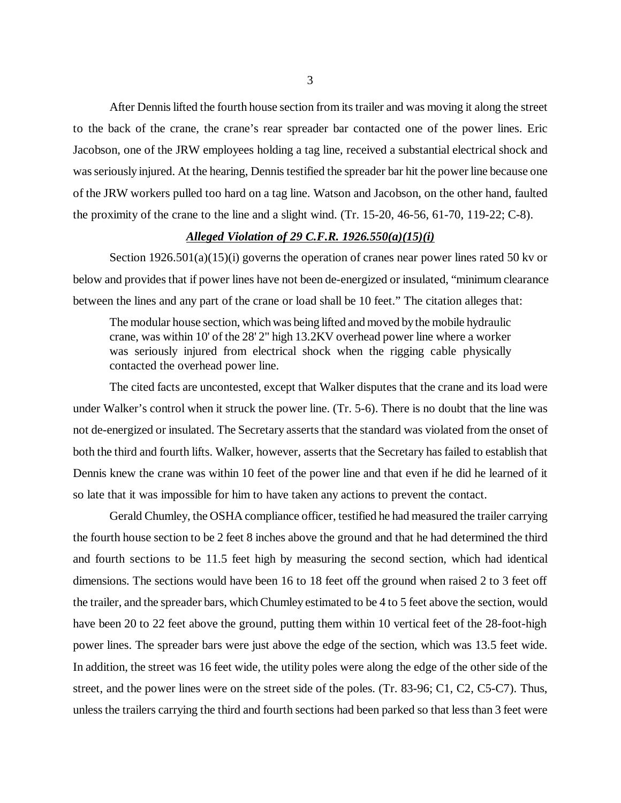After Dennis lifted the fourth house section from its trailer and was moving it along the street to the back of the crane, the crane's rear spreader bar contacted one of the power lines. Eric Jacobson, one of the JRW employees holding a tag line, received a substantial electrical shock and was seriously injured. At the hearing, Dennis testified the spreader bar hit the power line because one of the JRW workers pulled too hard on a tag line. Watson and Jacobson, on the other hand, faulted the proximity of the crane to the line and a slight wind. (Tr. 15-20, 46-56, 61-70, 119-22; C-8).

## *Alleged Violation of 29 C.F.R. 1926.550(a)(15)(i)*

Section 1926.501(a)(15)(i) governs the operation of cranes near power lines rated 50 kv or below and provides that if power lines have not been de-energized or insulated, "minimum clearance between the lines and any part of the crane or load shall be 10 feet." The citation alleges that:

The modular house section, which was being lifted and moved by the mobile hydraulic crane, was within 10' of the 28' 2" high 13.2KV overhead power line where a worker was seriously injured from electrical shock when the rigging cable physically contacted the overhead power line.

The cited facts are uncontested, except that Walker disputes that the crane and its load were under Walker's control when it struck the power line. (Tr. 5-6). There is no doubt that the line was not de-energized or insulated. The Secretary asserts that the standard was violated from the onset of both the third and fourth lifts. Walker, however, asserts that the Secretary has failed to establish that Dennis knew the crane was within 10 feet of the power line and that even if he did he learned of it so late that it was impossible for him to have taken any actions to prevent the contact.

Gerald Chumley, the OSHA compliance officer, testified he had measured the trailer carrying the fourth house section to be 2 feet 8 inches above the ground and that he had determined the third and fourth sections to be 11.5 feet high by measuring the second section, which had identical dimensions. The sections would have been 16 to 18 feet off the ground when raised 2 to 3 feet off the trailer, and the spreader bars, which Chumley estimated to be 4 to 5 feet above the section, would have been 20 to 22 feet above the ground, putting them within 10 vertical feet of the 28-foot-high power lines. The spreader bars were just above the edge of the section, which was 13.5 feet wide. In addition, the street was 16 feet wide, the utility poles were along the edge of the other side of the street, and the power lines were on the street side of the poles. (Tr. 83-96; C1, C2, C5-C7). Thus, unless the trailers carrying the third and fourth sections had been parked so that less than 3 feet were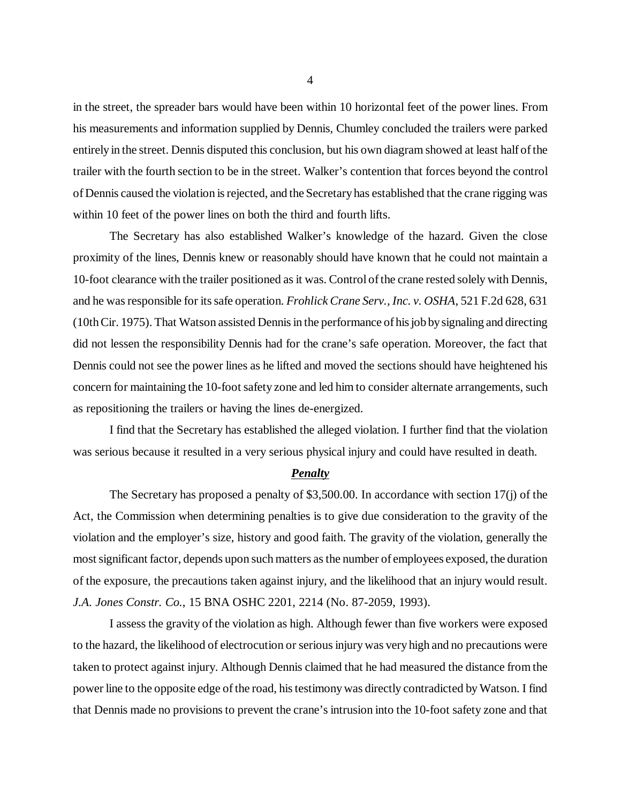in the street, the spreader bars would have been within 10 horizontal feet of the power lines. From his measurements and information supplied by Dennis, Chumley concluded the trailers were parked entirely in the street. Dennis disputed this conclusion, but his own diagram showed at least half of the trailer with the fourth section to be in the street. Walker's contention that forces beyond the control of Dennis caused the violation is rejected, and the Secretary has established that the crane rigging was within 10 feet of the power lines on both the third and fourth lifts.

The Secretary has also established Walker's knowledge of the hazard. Given the close proximity of the lines, Dennis knew or reasonably should have known that he could not maintain a 10-foot clearance with the trailer positioned as it was. Control of the crane rested solely with Dennis, and he was responsible for its safe operation. *Frohlick Crane Serv., Inc. v. OSHA*, 521 F.2d 628, 631 (10th Cir. 1975). That Watson assisted Dennis in the performance of his job by signaling and directing did not lessen the responsibility Dennis had for the crane's safe operation. Moreover, the fact that Dennis could not see the power lines as he lifted and moved the sections should have heightened his concern for maintaining the 10-foot safety zone and led him to consider alternate arrangements, such as repositioning the trailers or having the lines de-energized.

I find that the Secretary has established the alleged violation. I further find that the violation was serious because it resulted in a very serious physical injury and could have resulted in death.

### *Penalty*

The Secretary has proposed a penalty of \$3,500.00. In accordance with section 17(j) of the Act, the Commission when determining penalties is to give due consideration to the gravity of the violation and the employer's size, history and good faith. The gravity of the violation, generally the most significant factor, depends upon such matters as the number of employees exposed, the duration of the exposure, the precautions taken against injury, and the likelihood that an injury would result. *J.A. Jones Constr. Co.*, 15 BNA OSHC 2201, 2214 (No. 87-2059, 1993).

I assess the gravity of the violation as high. Although fewer than five workers were exposed to the hazard, the likelihood of electrocution or serious injury was very high and no precautions were taken to protect against injury. Although Dennis claimed that he had measured the distance from the power line to the opposite edge of the road, his testimony was directly contradicted by Watson. I find that Dennis made no provisions to prevent the crane's intrusion into the 10-foot safety zone and that